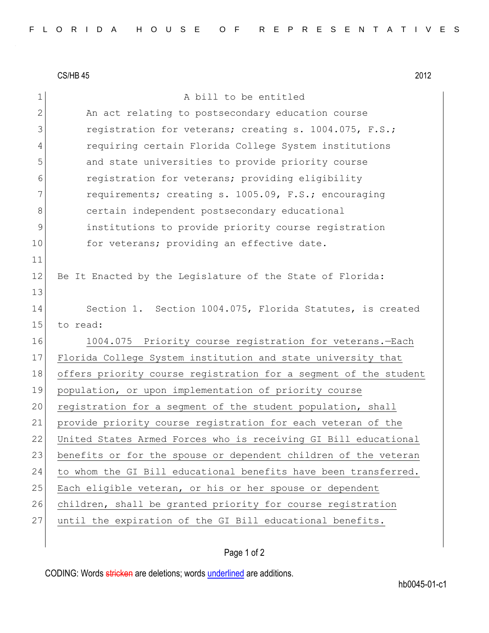|             | CS/HB 45<br>2012                                                 |
|-------------|------------------------------------------------------------------|
| $\mathbf 1$ | A bill to be entitled                                            |
| 2           | An act relating to postsecondary education course                |
| 3           | registration for veterans; creating s. 1004.075, F.S.;           |
| 4           | requiring certain Florida College System institutions            |
| 5           | and state universities to provide priority course                |
| 6           | registration for veterans; providing eligibility                 |
| 7           | requirements; creating s. 1005.09, F.S.; encouraging             |
| 8           | certain independent postsecondary educational                    |
| 9           | institutions to provide priority course registration             |
| 10          | for veterans; providing an effective date.                       |
| 11          |                                                                  |
| 12          | Be It Enacted by the Legislature of the State of Florida:        |
| 13          |                                                                  |
| 14          | Section 1. Section 1004.075, Florida Statutes, is created        |
| 15          | to read:                                                         |
| 16          | 1004.075 Priority course registration for veterans.-Each         |
| 17          | Florida College System institution and state university that     |
| 18          | offers priority course registration for a segment of the student |
| 19          | population, or upon implementation of priority course            |
| 20          | registration for a segment of the student population, shall      |
| 21          | provide priority course registration for each veteran of the     |
| 22          | United States Armed Forces who is receiving GI Bill educational  |
| 23          | benefits or for the spouse or dependent children of the veteran  |
| 24          | to whom the GI Bill educational benefits have been transferred.  |
| 25          | Each eligible veteran, or his or her spouse or dependent         |
| 26          | children, shall be granted priority for course registration      |
| 27          | until the expiration of the GI Bill educational benefits.        |
|             |                                                                  |

## Page 1 of 2

CODING: Words stricken are deletions; words underlined are additions.